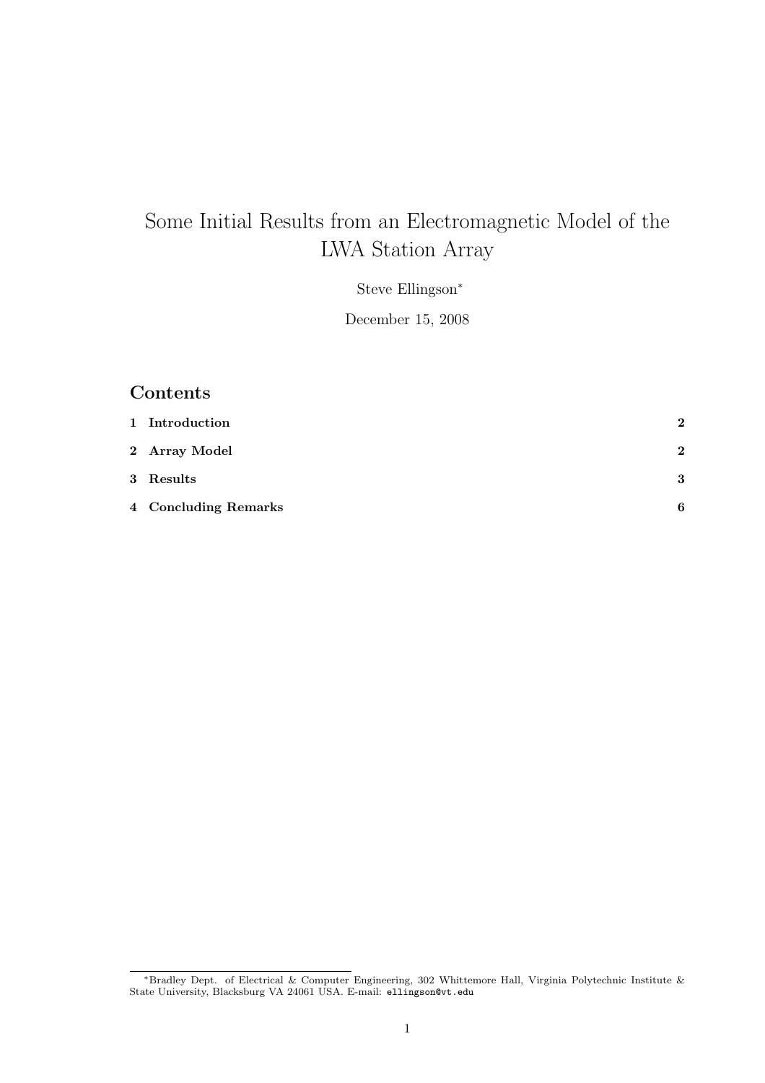# Some Initial Results from an Electromagnetic Model of the LWA Station Array

Steve Ellingson<sup>∗</sup>

December 15, 2008

## Contents

| 1 Introduction       | $\bf{2}$ |
|----------------------|----------|
| 2 Array Model        | $\bf{2}$ |
| 3 Results            | 3        |
| 4 Concluding Remarks | 6        |

<sup>∗</sup>Bradley Dept. of Electrical & Computer Engineering, 302 Whittemore Hall, Virginia Polytechnic Institute & State University, Blacksburg VA 24061 USA. E-mail: ellingson@vt.edu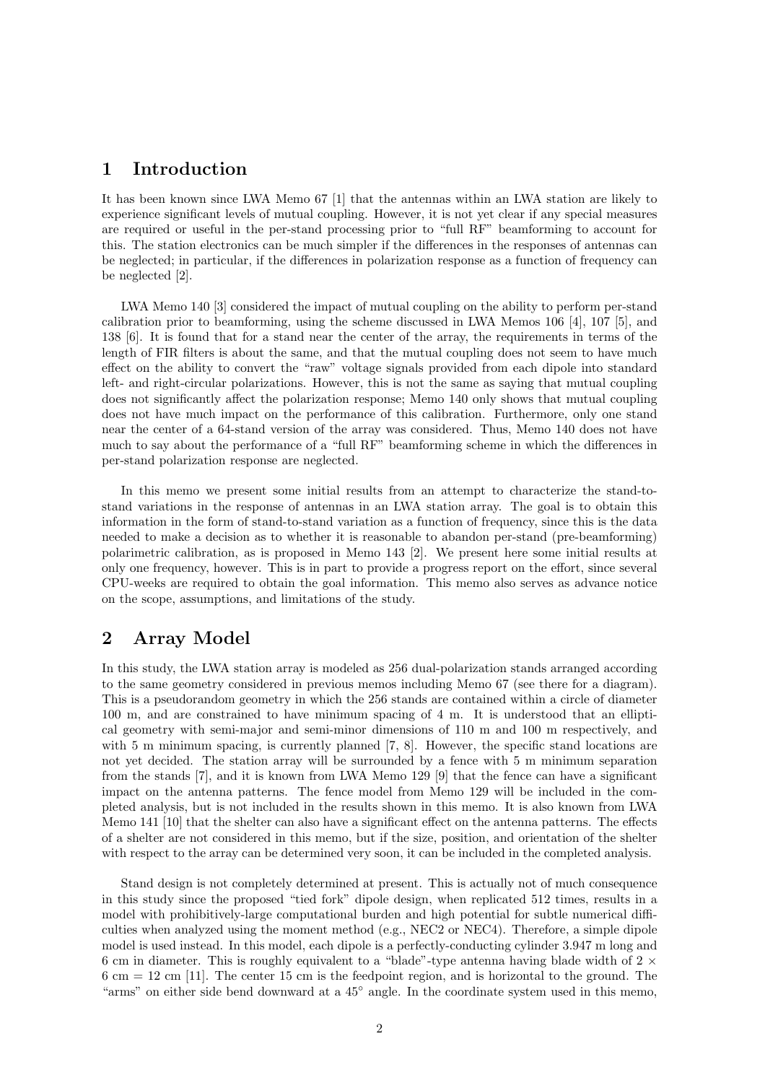#### 1 Introduction

It has been known since LWA Memo 67 [1] that the antennas within an LWA station are likely to experience significant levels of mutual coupling. However, it is not yet clear if any special measures are required or useful in the per-stand processing prior to "full RF" beamforming to account for this. The station electronics can be much simpler if the differences in the responses of antennas can be neglected; in particular, if the differences in polarization response as a function of frequency can be neglected [2].

LWA Memo 140 [3] considered the impact of mutual coupling on the ability to perform per-stand calibration prior to beamforming, using the scheme discussed in LWA Memos 106 [4], 107 [5], and 138 [6]. It is found that for a stand near the center of the array, the requirements in terms of the length of FIR filters is about the same, and that the mutual coupling does not seem to have much effect on the ability to convert the "raw" voltage signals provided from each dipole into standard left- and right-circular polarizations. However, this is not the same as saying that mutual coupling does not significantly affect the polarization response; Memo 140 only shows that mutual coupling does not have much impact on the performance of this calibration. Furthermore, only one stand near the center of a 64-stand version of the array was considered. Thus, Memo 140 does not have much to say about the performance of a "full RF" beamforming scheme in which the differences in per-stand polarization response are neglected.

In this memo we present some initial results from an attempt to characterize the stand-tostand variations in the response of antennas in an LWA station array. The goal is to obtain this information in the form of stand-to-stand variation as a function of frequency, since this is the data needed to make a decision as to whether it is reasonable to abandon per-stand (pre-beamforming) polarimetric calibration, as is proposed in Memo 143 [2]. We present here some initial results at only one frequency, however. This is in part to provide a progress report on the effort, since several CPU-weeks are required to obtain the goal information. This memo also serves as advance notice on the scope, assumptions, and limitations of the study.

#### 2 Array Model

In this study, the LWA station array is modeled as 256 dual-polarization stands arranged according to the same geometry considered in previous memos including Memo 67 (see there for a diagram). This is a pseudorandom geometry in which the 256 stands are contained within a circle of diameter 100 m, and are constrained to have minimum spacing of 4 m. It is understood that an elliptical geometry with semi-major and semi-minor dimensions of 110 m and 100 m respectively, and with 5 m minimum spacing, is currently planned  $[7, 8]$ . However, the specific stand locations are not yet decided. The station array will be surrounded by a fence with 5 m minimum separation from the stands [7], and it is known from LWA Memo 129 [9] that the fence can have a significant impact on the antenna patterns. The fence model from Memo 129 will be included in the completed analysis, but is not included in the results shown in this memo. It is also known from LWA Memo 141 [10] that the shelter can also have a significant effect on the antenna patterns. The effects of a shelter are not considered in this memo, but if the size, position, and orientation of the shelter with respect to the array can be determined very soon, it can be included in the completed analysis.

Stand design is not completely determined at present. This is actually not of much consequence in this study since the proposed "tied fork" dipole design, when replicated 512 times, results in a model with prohibitively-large computational burden and high potential for subtle numerical difficulties when analyzed using the moment method (e.g., NEC2 or NEC4). Therefore, a simple dipole model is used instead. In this model, each dipole is a perfectly-conducting cylinder 3.947 m long and 6 cm in diameter. This is roughly equivalent to a "blade"-type antenna having blade width of  $2 \times$  $6 \text{ cm} = 12 \text{ cm}$  [11]. The center 15 cm is the feedpoint region, and is horizontal to the ground. The "arms" on either side bend downward at a 45◦ angle. In the coordinate system used in this memo,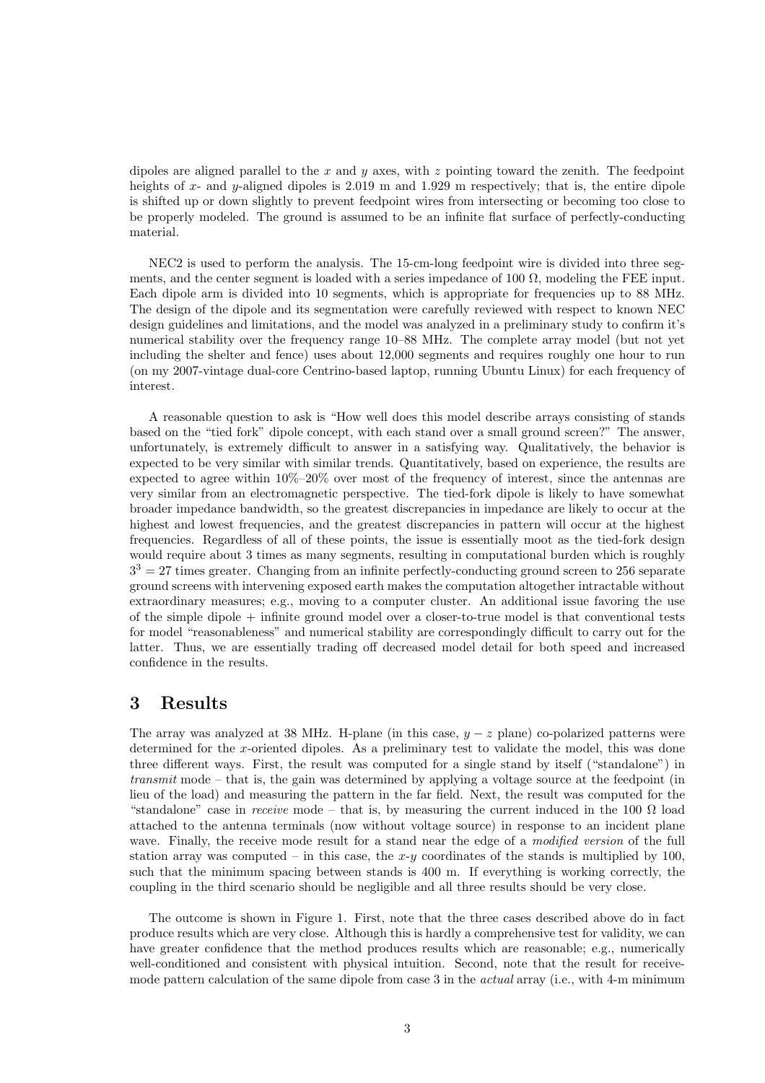dipoles are aligned parallel to the x and y axes, with z pointing toward the zenith. The feedpoint heights of x- and y-aligned dipoles is 2.019 m and 1.929 m respectively; that is, the entire dipole is shifted up or down slightly to prevent feedpoint wires from intersecting or becoming too close to be properly modeled. The ground is assumed to be an infinite flat surface of perfectly-conducting material.

NEC2 is used to perform the analysis. The 15-cm-long feedpoint wire is divided into three segments, and the center segment is loaded with a series impedance of 100  $\Omega$ , modeling the FEE input. Each dipole arm is divided into 10 segments, which is appropriate for frequencies up to 88 MHz. The design of the dipole and its segmentation were carefully reviewed with respect to known NEC design guidelines and limitations, and the model was analyzed in a preliminary study to confirm it's numerical stability over the frequency range 10–88 MHz. The complete array model (but not yet including the shelter and fence) uses about 12,000 segments and requires roughly one hour to run (on my 2007-vintage dual-core Centrino-based laptop, running Ubuntu Linux) for each frequency of interest.

A reasonable question to ask is "How well does this model describe arrays consisting of stands based on the "tied fork" dipole concept, with each stand over a small ground screen?" The answer, unfortunately, is extremely difficult to answer in a satisfying way. Qualitatively, the behavior is expected to be very similar with similar trends. Quantitatively, based on experience, the results are expected to agree within 10%–20% over most of the frequency of interest, since the antennas are very similar from an electromagnetic perspective. The tied-fork dipole is likely to have somewhat broader impedance bandwidth, so the greatest discrepancies in impedance are likely to occur at the highest and lowest frequencies, and the greatest discrepancies in pattern will occur at the highest frequencies. Regardless of all of these points, the issue is essentially moot as the tied-fork design would require about 3 times as many segments, resulting in computational burden which is roughly  $3<sup>3</sup> = 27$  times greater. Changing from an infinite perfectly-conducting ground screen to 256 separate ground screens with intervening exposed earth makes the computation altogether intractable without extraordinary measures; e.g., moving to a computer cluster. An additional issue favoring the use of the simple dipole + infinite ground model over a closer-to-true model is that conventional tests for model "reasonableness" and numerical stability are correspondingly difficult to carry out for the latter. Thus, we are essentially trading off decreased model detail for both speed and increased confidence in the results.

#### 3 Results

The array was analyzed at 38 MHz. H-plane (in this case,  $y - z$  plane) co-polarized patterns were determined for the x-oriented dipoles. As a preliminary test to validate the model, this was done three different ways. First, the result was computed for a single stand by itself ("standalone") in transmit mode – that is, the gain was determined by applying a voltage source at the feedpoint (in lieu of the load) and measuring the pattern in the far field. Next, the result was computed for the "standalone" case in receive mode – that is, by measuring the current induced in the 100  $\Omega$  load attached to the antenna terminals (now without voltage source) in response to an incident plane wave. Finally, the receive mode result for a stand near the edge of a *modified version* of the full station array was computed – in this case, the  $x-y$  coordinates of the stands is multiplied by 100, such that the minimum spacing between stands is 400 m. If everything is working correctly, the coupling in the third scenario should be negligible and all three results should be very close.

The outcome is shown in Figure 1. First, note that the three cases described above do in fact produce results which are very close. Although this is hardly a comprehensive test for validity, we can have greater confidence that the method produces results which are reasonable; e.g., numerically well-conditioned and consistent with physical intuition. Second, note that the result for receivemode pattern calculation of the same dipole from case 3 in the *actual* array (i.e., with 4-m minimum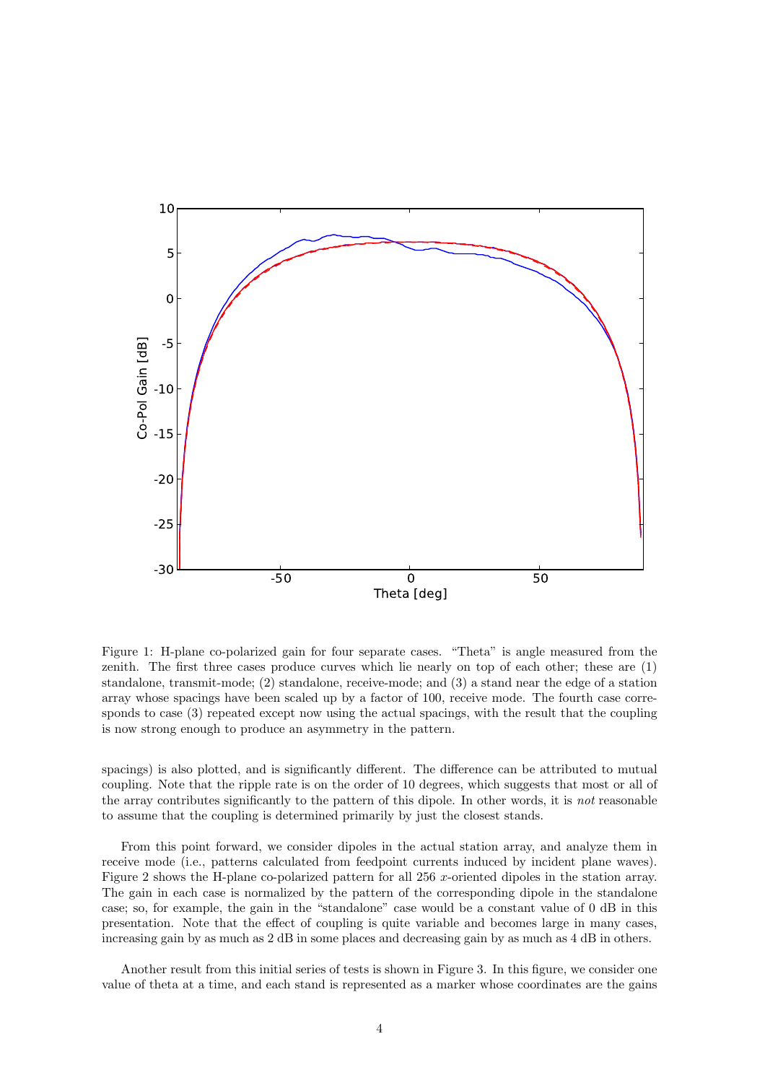

Figure 1: H-plane co-polarized gain for four separate cases. "Theta" is angle measured from the zenith. The first three cases produce curves which lie nearly on top of each other; these are (1) standalone, transmit-mode; (2) standalone, receive-mode; and (3) a stand near the edge of a station array whose spacings have been scaled up by a factor of 100, receive mode. The fourth case corresponds to case (3) repeated except now using the actual spacings, with the result that the coupling is now strong enough to produce an asymmetry in the pattern.

spacings) is also plotted, and is significantly different. The difference can be attributed to mutual coupling. Note that the ripple rate is on the order of 10 degrees, which suggests that most or all of the array contributes significantly to the pattern of this dipole. In other words, it is not reasonable to assume that the coupling is determined primarily by just the closest stands.

From this point forward, we consider dipoles in the actual station array, and analyze them in receive mode (i.e., patterns calculated from feedpoint currents induced by incident plane waves). Figure 2 shows the H-plane co-polarized pattern for all 256 x-oriented dipoles in the station array. The gain in each case is normalized by the pattern of the corresponding dipole in the standalone case; so, for example, the gain in the "standalone" case would be a constant value of 0 dB in this presentation. Note that the effect of coupling is quite variable and becomes large in many cases, increasing gain by as much as 2 dB in some places and decreasing gain by as much as 4 dB in others.

Another result from this initial series of tests is shown in Figure 3. In this figure, we consider one value of theta at a time, and each stand is represented as a marker whose coordinates are the gains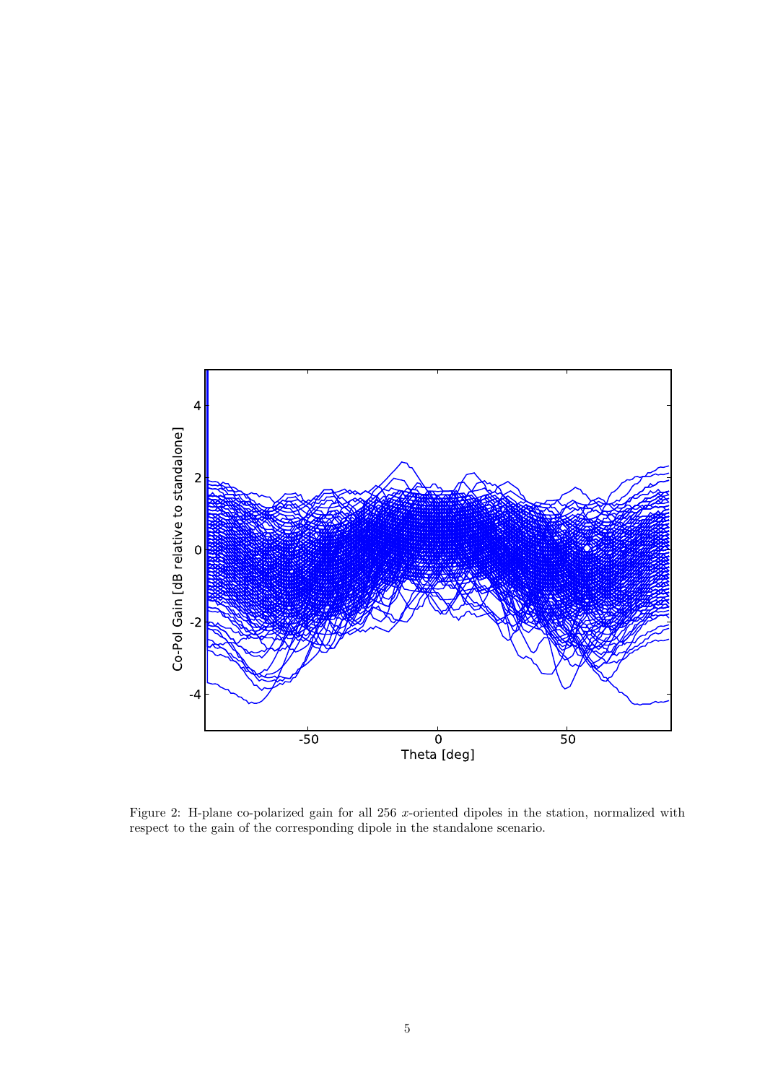

Figure 2: H-plane co-polarized gain for all 256 x-oriented dipoles in the station, normalized with respect to the gain of the corresponding dipole in the standalone scenario.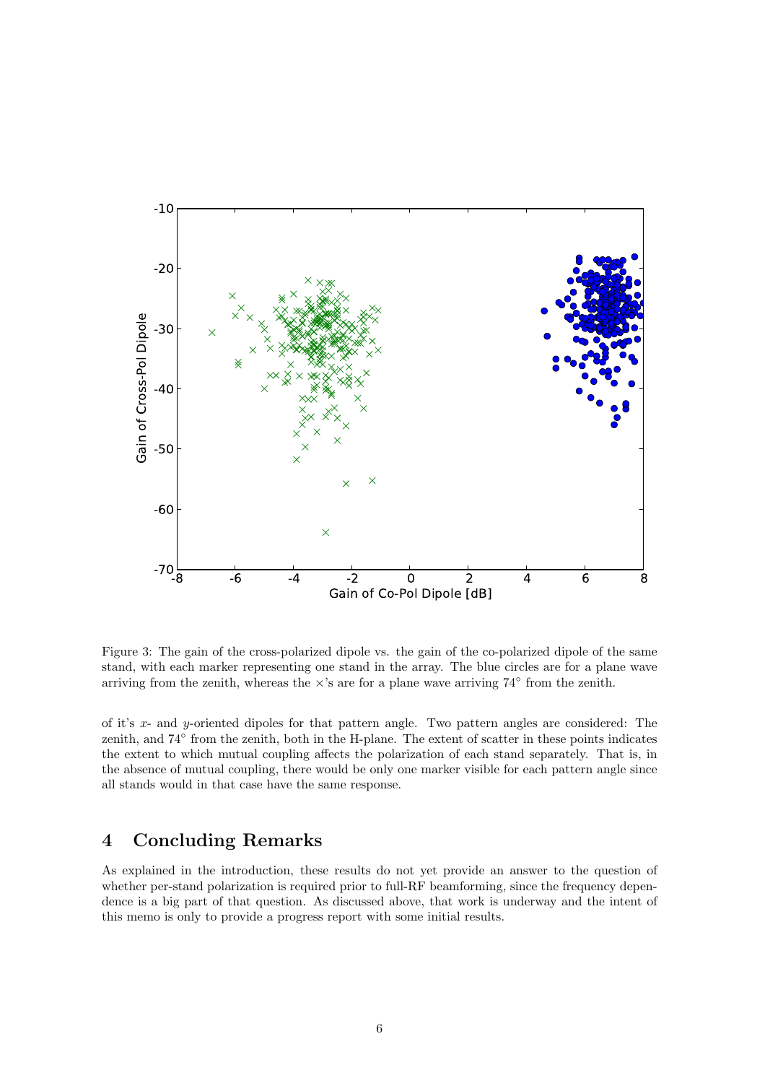

Figure 3: The gain of the cross-polarized dipole vs. the gain of the co-polarized dipole of the same stand, with each marker representing one stand in the array. The blue circles are for a plane wave arriving from the zenith, whereas the  $\times$ 's are for a plane wave arriving 74° from the zenith.

of it's x- and y-oriented dipoles for that pattern angle. Two pattern angles are considered: The zenith, and 74° from the zenith, both in the H-plane. The extent of scatter in these points indicates the extent to which mutual coupling affects the polarization of each stand separately. That is, in the absence of mutual coupling, there would be only one marker visible for each pattern angle since all stands would in that case have the same response.

### 4 Concluding Remarks

As explained in the introduction, these results do not yet provide an answer to the question of whether per-stand polarization is required prior to full-RF beamforming, since the frequency dependence is a big part of that question. As discussed above, that work is underway and the intent of this memo is only to provide a progress report with some initial results.